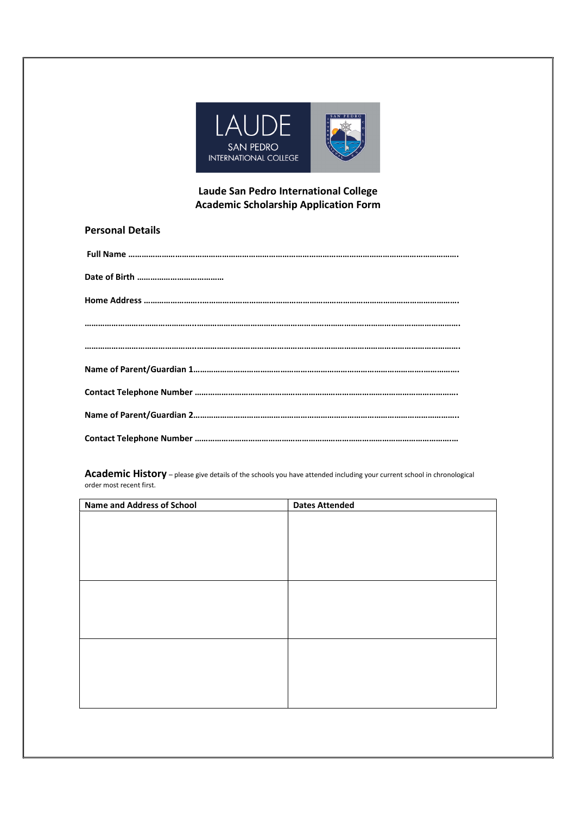

## Laude San Pedro International College Academic Scholarship Application Form

| <b>Personal Details</b> |  |
|-------------------------|--|
|-------------------------|--|

Academic History – please give details of the schools you have attended including your current school in chronological order most recent first.

| <b>Name and Address of School</b> | <b>Dates Attended</b> |
|-----------------------------------|-----------------------|
|                                   |                       |
|                                   |                       |
|                                   |                       |
|                                   |                       |
|                                   |                       |
|                                   |                       |
|                                   |                       |
|                                   |                       |
|                                   |                       |
|                                   |                       |
|                                   |                       |
|                                   |                       |
|                                   |                       |
|                                   |                       |
|                                   |                       |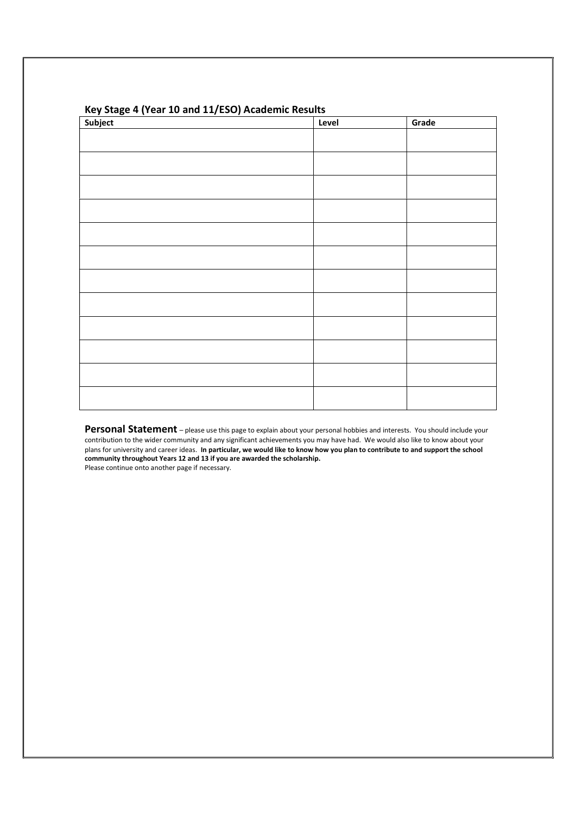| Subject<br>$\overline{\phantom{a}}$ | Level | Grade |
|-------------------------------------|-------|-------|
|                                     |       |       |
|                                     |       |       |
|                                     |       |       |
|                                     |       |       |
|                                     |       |       |
|                                     |       |       |
|                                     |       |       |
|                                     |       |       |
|                                     |       |       |
|                                     |       |       |
|                                     |       |       |
|                                     |       |       |
|                                     |       |       |

## Key Stage 4 (Year 10 and 11/ESO) Academic Results

Personal Statement – please use this page to explain about your personal hobbies and interests. You should include your contribution to the wider community and any significant achievements you may have had. We would also like to know about your plans for university and career ideas. In particular, we would like to know how you plan to contribute to and support the school community throughout Years 12 and 13 if you are awarded the scholarship. Please continue onto another page if necessary.